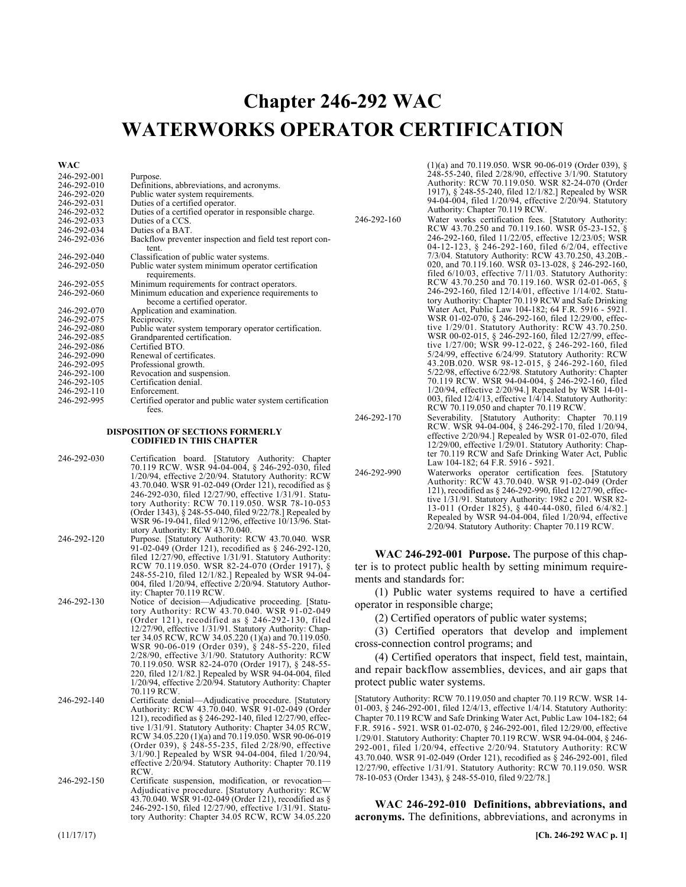# Chapter 246-292 **Chapter 246-292 WAC WATERWORKS OPERATOR CERTIFICATION**

**WAC** 

| 246-292-001 | Purpose.                                                            |
|-------------|---------------------------------------------------------------------|
| 246-292-010 | Definitions, abbreviations, and acronyms.                           |
| 246-292-020 | Public water system requirements.                                   |
| 246-292-031 | Duties of a certified operator.                                     |
| 246-292-032 | Duties of a certified operator in responsible charge.               |
| 246-292-033 | Duties of a CCS.                                                    |
| 246-292-034 | Duties of a BAT.                                                    |
| 246-292-036 | Backflow preventer inspection and field test report con-            |
|             | tent.                                                               |
| 246-292-040 | Classification of public water systems.                             |
| 246-292-050 |                                                                     |
|             | Public water system minimum operator certification<br>requirements. |
|             |                                                                     |
| 246-292-055 | Minimum requirements for contract operators.                        |
| 246-292-060 | Minimum education and experience requirements to                    |
|             | become a certified operator.                                        |
| 246-292-070 | Application and examination.                                        |
| 246-292-075 | Reciprocity.                                                        |
| 246-292-080 | Public water system temporary operator certification.               |
| 246-292-085 | Grandparented certification.                                        |
| 246-292-086 | Certified BTO.                                                      |
| 246-292-090 | Renewal of certificates.                                            |
| 246-292-095 | Professional growth.                                                |
| 246-292-100 | Revocation and suspension.                                          |
| 246-292-105 | Certification denial.                                               |
| 246-292-110 | Enforcement.                                                        |
| 246-292-995 | Certified operator and public water system certification            |
|             | fees.                                                               |

#### **DISPOSITION OF SECTIONS FORMERLY CODIFIED IN THIS CHAPTER**

- 246-292-030 Certification board. [Statutory Authority: Chapter 70.119 RCW. WSR 94-04-004, § 246-292-030, filed 1/20/94, effective 2/20/94. Statutory Authority: RCW 43.70.040. WSR 91-02-049 (Order 121), recodified as § 246-292-030, filed 12/27/90, effective 1/31/91. Statutory Authority: RCW 70.119.050. WSR 78-10-053 (Order 1343), § 248-55-040, filed 9/22/78.] Repealed by WSR 96-19-041, filed 9/12/96, effective 10/13/96. Statutory Authority: RCW 43.70.040.
- 246-292-120 Purpose. [Statutory Authority: RCW 43.70.040. WSR 91-02-049 (Order 121), recodified as § 246-292-120, filed 12/27/90, effective 1/31/91. Statutory Authority: RCW 70.119.050. WSR 82-24-070 (Order 1917), § 248-55-210, filed 12/1/82.] Repealed by WSR 94-04- 004, filed 1/20/94, effective 2/20/94. Statutory Author-ity: Chapter 70.119 RCW.
- 246-292-130 Notice of decision—Adjudicative proceeding. [Statu-tory Authority: RCW 43.70.040. WSR 91-02-049 (Order 121), recodified as § 246-292-130, filed 12/27/90, effective 1/31/91. Statutory Authority: Chapter 34.05 RCW, RCW 34.05.220 (1)(a) and 70.119.050. WSR 90-06-019 (Order 039), § 248-55-220, filed 2/28/90, effective 3/1/90. Statutory Authority: RCW 70.119.050. WSR 82-24-070 (Order 1917), § 248-55- 220, filed 12/1/82.] Repealed by WSR 94-04-004, filed 1/20/94, effective 2/20/94. Statutory Authority: Chapter 70.119 RCW.
- 246-292-140 Certificate denial—Adjudicative procedure. [Statutory Authority: RCW 43.70.040. WSR 91-02-049 (Order 121), recodified as § 246-292-140, filed 12/27/90, effective 1/31/91. Statutory Authority: Chapter 34.05 RCW, RCW 34.05.220 (1)(a) and 70.119.050. WSR 90-06-019 (Order 039), § 248-55-235, filed 2/28/90, effective 3/1/90.] Repealed by WSR 94-04-004, filed 1/20/94, effective 2/20/94. Statutory Authority: Chapter 70.119 RCW.
- 246-292-150 Certificate suspension, modification, or revocation— Adjudicative procedure. [Statutory Authority: RCW 43.70.040. WSR 91-02-049 (Order 121), recodified as § 246-292-150, filed 12/27/90, effective 1/31/91. Statutory Authority: Chapter 34.05 RCW, RCW 34.05.220

(1)(a) and 70.119.050. WSR 90-06-019 (Order 039), §  $248 - 55 - 240$ , filed 2/28/90, effective 3/1/90. Statutory Authority: RCW 70.119.050. WSR 82-24-070 (Order 1917), § 248-55-240, filed 12/1/82.] Repealed by WSR 94-04-004, filed 1/20/94, effective 2/20/94. Statutory Authority: Chapter 70.119 RCW.

- 246-292-160 Water works certification fees. [Statutory Authority: RCW 43.70.250 and 70.119.160. WSR 05-23-152, § 246-292-160, filed 11/22/05, effective 12/23/05; WSR 04-12-123, § 246-292-160, filed 6/2/04, effective 7/3/04. Statutory Authority: RCW 43.70.250, 43.20B.- 020, and 70.119.160. WSR 03-13-028, § 246-292-160, filed 6/10/03, effective 7/11/03. Statutory Authority: RCW 43.70.250 and 70.119.160. WSR 02-01-065, § 246-292-160, filed 12/14/01, effective 1/14/02. Statutory Authority: Chapter 70.119 RCW and Safe Drinking Water Act, Public Law 104-182; 64 F.R. 5916 - 5921. WSR 01-02-070, § 246-292-160, filed 12/29/00, effective 1/29/01. Statutory Authority: RCW 43.70.250. WSR 00-02-015, § 246-292-160, filed 12/27/99, effective 1/27/00; WSR 99-12-022, § 246-292-160, filed 5/24/99, effective 6/24/99. Statutory Authority: RCW 43.20B.020. WSR 98-12-015, § 246-292-160, filed 5/22/98, effective 6/22/98. Statutory Authority: Chapter 70.119 RCW. WSR 94-04-004, § 246-292-160, filed 1/20/94, effective 2/20/94.] Repealed by WSR 14-01- 003, filed 12/4/13, effective 1/4/14. Statutory Authority: RCW 70.119.050 and chapter 70.119 RCW.
- 246-292-170 Severability. [Statutory Authority: Chapter 70.119 RCW. WSR 94-04-004, § 246-292-170, filed 1/20/94, effective 2/20/94.] Repealed by WSR 01-02-070, filed 12/29/00, effective 1/29/01. Statutory Authority: Chap-<br>ter 70.119 RCW and Safe Drinking Water Act, Public Law 104-182; 64 F.R. 5916 - 5921.
- 246-292-990 Waterworks operator certification fees. [Statutory Authority: RCW 43.70.040. WSR 91-02-049 (Order 121), recodified as § 246-292-990, filed 12/27/90, effective 1/31/91. Statutory Authority: 1982 c 201. WSR 82- 13-011 (Order 1825), § 440-44-080, filed 6/4/82.] Repealed by WSR 94-04-004, filed 1/20/94, effective 2/20/94. Statutory Authority: Chapter 70.119 RCW.

246-292-001 **WAC 246-292-001 Purpose.** The purpose of this chapter is to protect public health by setting minimum requirements and standards for:

(1) Public water systems required to have a certified operator in responsible charge;

(2) Certified operators of public water systems;

(3) Certified operators that develop and implement cross-connection control programs; and

(4) Certified operators that inspect, field test, maintain, and repair backflow assemblies, devices, and air gaps that protect public water systems.

[Statutory Authority: RCW 70.119.050 and chapter 70.119 RCW. WSR 14- 01-003, § 246-292-001, filed 12/4/13, effective 1/4/14. Statutory Authority: Chapter 70.119 RCW and Safe Drinking Water Act, Public Law 104-182; 64 F.R. 5916 - 5921. WSR 01-02-070, § 246-292-001, filed 12/29/00, effective 1/29/01. Statutory Authority: Chapter 70.119 RCW. WSR 94-04-004, § 246- 292-001, filed 1/20/94, effective 2/20/94. Statutory Authority: RCW 43.70.040. WSR 91-02-049 (Order 121), recodified as § 246-292-001, filed 12/27/90, effective 1/31/91. Statutory Authority: RCW 70.119.050. WSR 78-10-053 (Order 1343), § 248-55-010, filed 9/22/78.]

246-292-010 **WAC 246-292-010 Definitions, abbreviations, and acronyms.** The definitions, abbreviations, and acronyms in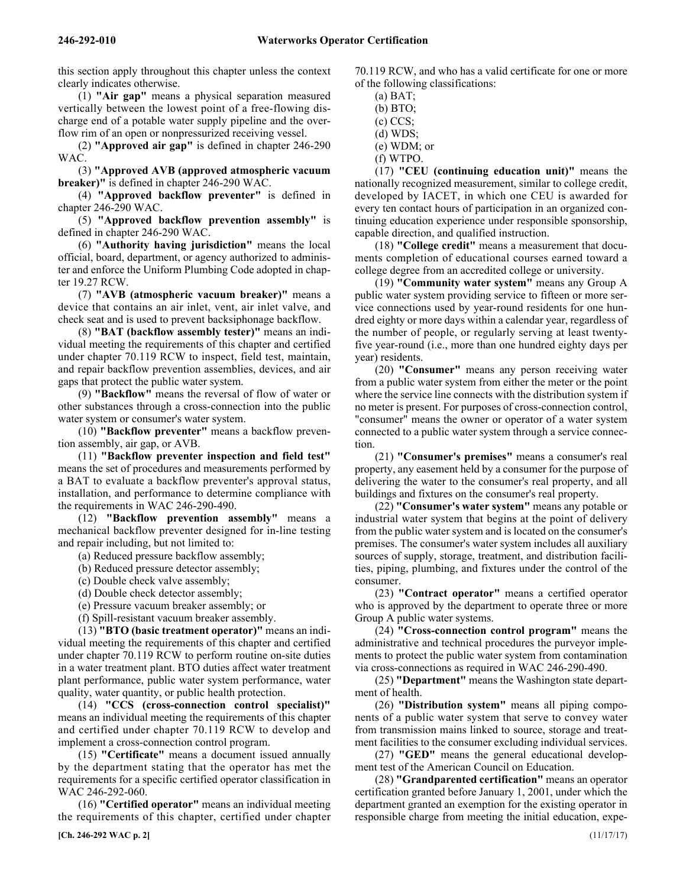this section apply throughout this chapter unless the context clearly indicates otherwise.

(1) **"Air gap"** means a physical separation measured vertically between the lowest point of a free-flowing discharge end of a potable water supply pipeline and the overflow rim of an open or nonpressurized receiving vessel.

(2) **"Approved air gap"** is defined in chapter 246-290 WAC.

(3) **"Approved AVB (approved atmospheric vacuum breaker)"** is defined in chapter 246-290 WAC.

(4) **"Approved backflow preventer"** is defined in chapter 246-290 WAC.

(5) **"Approved backflow prevention assembly"** is defined in chapter 246-290 WAC.

(6) **"Authority having jurisdiction"** means the local official, board, department, or agency authorized to administer and enforce the Uniform Plumbing Code adopted in chapter 19.27 RCW.

(7) **"AVB (atmospheric vacuum breaker)"** means a device that contains an air inlet, vent, air inlet valve, and check seat and is used to prevent backsiphonage backflow.

(8) **"BAT (backflow assembly tester)"** means an individual meeting the requirements of this chapter and certified under chapter 70.119 RCW to inspect, field test, maintain, and repair backflow prevention assemblies, devices, and air gaps that protect the public water system.

(9) **"Backflow"** means the reversal of flow of water or other substances through a cross-connection into the public water system or consumer's water system.

(10) **"Backflow preventer"** means a backflow prevention assembly, air gap, or AVB.

(11) **"Backflow preventer inspection and field test"** means the set of procedures and measurements performed by a BAT to evaluate a backflow preventer's approval status, installation, and performance to determine compliance with the requirements in WAC 246-290-490.

(12) **"Backflow prevention assembly"** means a mechanical backflow preventer designed for in-line testing and repair including, but not limited to:

(a) Reduced pressure backflow assembly;

(b) Reduced pressure detector assembly;

(c) Double check valve assembly;

(d) Double check detector assembly;

(e) Pressure vacuum breaker assembly; or

(f) Spill-resistant vacuum breaker assembly.

(13) **"BTO (basic treatment operator)"** means an individual meeting the requirements of this chapter and certified under chapter 70.119 RCW to perform routine on-site duties in a water treatment plant. BTO duties affect water treatment plant performance, public water system performance, water quality, water quantity, or public health protection.

(14) **"CCS (cross-connection control specialist)"** means an individual meeting the requirements of this chapter and certified under chapter 70.119 RCW to develop and implement a cross-connection control program.

(15) **"Certificate"** means a document issued annually by the department stating that the operator has met the requirements for a specific certified operator classification in WAC 246-292-060.

(16) **"Certified operator"** means an individual meeting the requirements of this chapter, certified under chapter

**[Ch. 246-292 WAC p. 2]** (11/17/17)

70.119 RCW, and who has a valid certificate for one or more of the following classifications:

 $(a)$  BAT; (b) BTO;

(c) CCS;

(d) WDS;

(e) WDM; or

(f) WTPO.

(17) **"CEU (continuing education unit)"** means the nationally recognized measurement, similar to college credit, developed by IACET, in which one CEU is awarded for every ten contact hours of participation in an organized continuing education experience under responsible sponsorship, capable direction, and qualified instruction.

(18) **"College credit"** means a measurement that documents completion of educational courses earned toward a college degree from an accredited college or university.

(19) **"Community water system"** means any Group A public water system providing service to fifteen or more service connections used by year-round residents for one hundred eighty or more days within a calendar year, regardless of the number of people, or regularly serving at least twentyfive year-round (i.e., more than one hundred eighty days per year) residents.

(20) **"Consumer"** means any person receiving water from a public water system from either the meter or the point where the service line connects with the distribution system if no meter is present. For purposes of cross-connection control, "consumer" means the owner or operator of a water system connected to a public water system through a service connection.

(21) **"Consumer's premises"** means a consumer's real property, any easement held by a consumer for the purpose of delivering the water to the consumer's real property, and all buildings and fixtures on the consumer's real property.

(22) **"Consumer's water system"** means any potable or industrial water system that begins at the point of delivery from the public water system and is located on the consumer's premises. The consumer's water system includes all auxiliary sources of supply, storage, treatment, and distribution facilities, piping, plumbing, and fixtures under the control of the consumer.

(23) **"Contract operator"** means a certified operator who is approved by the department to operate three or more Group A public water systems.

(24) **"Cross-connection control program"** means the administrative and technical procedures the purveyor implements to protect the public water system from contamination via cross-connections as required in WAC 246-290-490.

(25) **"Department"** means the Washington state department of health.

(26) **"Distribution system"** means all piping components of a public water system that serve to convey water from transmission mains linked to source, storage and treatment facilities to the consumer excluding individual services.

(27) **"GED"** means the general educational development test of the American Council on Education.

(28) **"Grandparented certification"** means an operator certification granted before January 1, 2001, under which the department granted an exemption for the existing operator in responsible charge from meeting the initial education, expe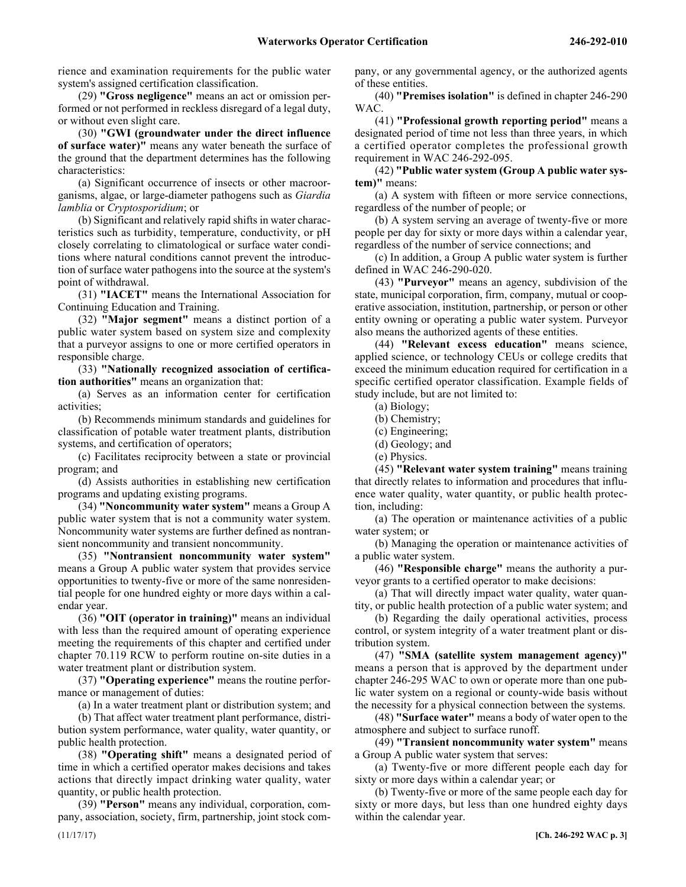rience and examination requirements for the public water system's assigned certification classification.

(29) **"Gross negligence"** means an act or omission performed or not performed in reckless disregard of a legal duty, or without even slight care.

(30) **"GWI (groundwater under the direct influence of surface water)"** means any water beneath the surface of the ground that the department determines has the following characteristics:

(a) Significant occurrence of insects or other macroorganisms, algae, or large-diameter pathogens such as *Giardia lamblia* or *Cryptosporidium*; or

(b) Significant and relatively rapid shifts in water characteristics such as turbidity, temperature, conductivity, or pH closely correlating to climatological or surface water conditions where natural conditions cannot prevent the introduction of surface water pathogens into the source at the system's point of withdrawal.

(31) **"IACET"** means the International Association for Continuing Education and Training.

(32) **"Major segment"** means a distinct portion of a public water system based on system size and complexity that a purveyor assigns to one or more certified operators in responsible charge.

(33) **"Nationally recognized association of certification authorities"** means an organization that:

(a) Serves as an information center for certification activities;

(b) Recommends minimum standards and guidelines for classification of potable water treatment plants, distribution systems, and certification of operators;

(c) Facilitates reciprocity between a state or provincial program; and

(d) Assists authorities in establishing new certification programs and updating existing programs.

(34) **"Noncommunity water system"** means a Group A public water system that is not a community water system. Noncommunity water systems are further defined as nontransient noncommunity and transient noncommunity.

(35) **"Nontransient noncommunity water system"** means a Group A public water system that provides service opportunities to twenty-five or more of the same nonresidential people for one hundred eighty or more days within a calendar year.

(36) **"OIT (operator in training)"** means an individual with less than the required amount of operating experience meeting the requirements of this chapter and certified under chapter 70.119 RCW to perform routine on-site duties in a water treatment plant or distribution system.

(37) **"Operating experience"** means the routine performance or management of duties:

(a) In a water treatment plant or distribution system; and

(b) That affect water treatment plant performance, distribution system performance, water quality, water quantity, or public health protection.

(38) **"Operating shift"** means a designated period of time in which a certified operator makes decisions and takes actions that directly impact drinking water quality, water quantity, or public health protection.

(39) **"Person"** means any individual, corporation, company, association, society, firm, partnership, joint stock company, or any governmental agency, or the authorized agents of these entities.

(40) **"Premises isolation"** is defined in chapter 246-290 **WAC** 

(41) **"Professional growth reporting period"** means a designated period of time not less than three years, in which a certified operator completes the professional growth requirement in WAC 246-292-095.

(42) **"Public water system (Group A public water system)"** means:

(a) A system with fifteen or more service connections, regardless of the number of people; or

(b) A system serving an average of twenty-five or more people per day for sixty or more days within a calendar year, regardless of the number of service connections; and

(c) In addition, a Group A public water system is further defined in WAC 246-290-020.

(43) **"Purveyor"** means an agency, subdivision of the state, municipal corporation, firm, company, mutual or cooperative association, institution, partnership, or person or other entity owning or operating a public water system. Purveyor also means the authorized agents of these entities.

(44) **"Relevant excess education"** means science, applied science, or technology CEUs or college credits that exceed the minimum education required for certification in a specific certified operator classification. Example fields of study include, but are not limited to:

(a) Biology;

- (b) Chemistry;
- (c) Engineering;
- (d) Geology; and
- (e) Physics.

(45) **"Relevant water system training"** means training that directly relates to information and procedures that influence water quality, water quantity, or public health protection, including:

(a) The operation or maintenance activities of a public water system; or

(b) Managing the operation or maintenance activities of a public water system.

(46) **"Responsible charge"** means the authority a purveyor grants to a certified operator to make decisions:

(a) That will directly impact water quality, water quantity, or public health protection of a public water system; and

(b) Regarding the daily operational activities, process control, or system integrity of a water treatment plant or distribution system.

(47) **"SMA (satellite system management agency)"** means a person that is approved by the department under chapter 246-295 WAC to own or operate more than one public water system on a regional or county-wide basis without the necessity for a physical connection between the systems.

(48) **"Surface water"** means a body of water open to the atmosphere and subject to surface runoff.

(49) **"Transient noncommunity water system"** means a Group A public water system that serves:

(a) Twenty-five or more different people each day for sixty or more days within a calendar year; or

(b) Twenty-five or more of the same people each day for sixty or more days, but less than one hundred eighty days within the calendar year.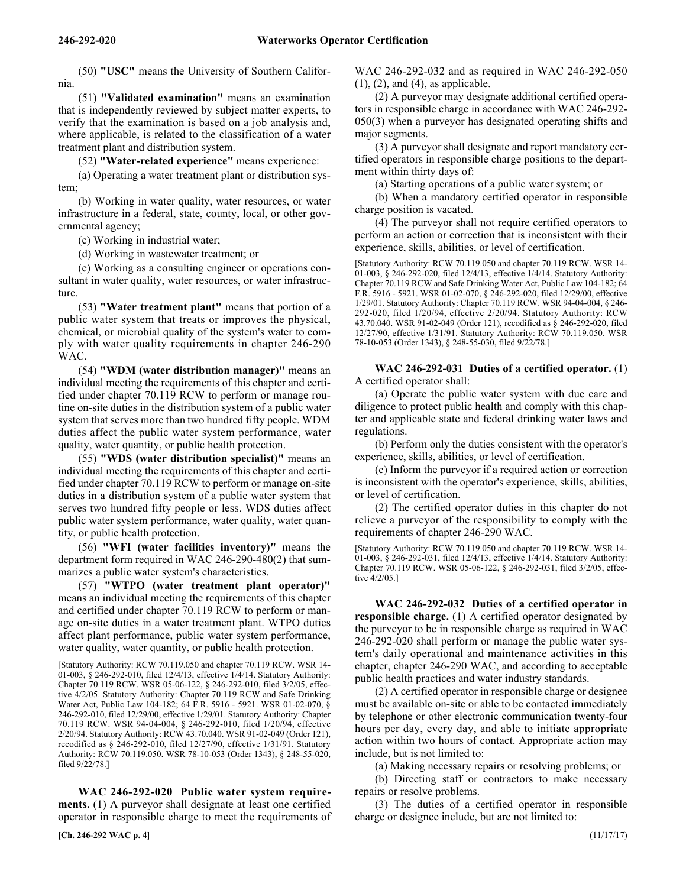(50) **"USC"** means the University of Southern California.

(51) **"Validated examination"** means an examination that is independently reviewed by subject matter experts, to verify that the examination is based on a job analysis and, where applicable, is related to the classification of a water treatment plant and distribution system.

(52) **"Water-related experience"** means experience:

(a) Operating a water treatment plant or distribution system;

(b) Working in water quality, water resources, or water infrastructure in a federal, state, county, local, or other governmental agency;

(c) Working in industrial water;

(d) Working in wastewater treatment; or

(e) Working as a consulting engineer or operations consultant in water quality, water resources, or water infrastructure.

(53) **"Water treatment plant"** means that portion of a public water system that treats or improves the physical, chemical, or microbial quality of the system's water to comply with water quality requirements in chapter 246-290 WAC.

(54) **"WDM (water distribution manager)"** means an individual meeting the requirements of this chapter and certified under chapter 70.119 RCW to perform or manage routine on-site duties in the distribution system of a public water system that serves more than two hundred fifty people. WDM duties affect the public water system performance, water quality, water quantity, or public health protection.

(55) **"WDS (water distribution specialist)"** means an individual meeting the requirements of this chapter and certified under chapter 70.119 RCW to perform or manage on-site duties in a distribution system of a public water system that serves two hundred fifty people or less. WDS duties affect public water system performance, water quality, water quantity, or public health protection.

(56) **"WFI (water facilities inventory)"** means the department form required in WAC 246-290-480(2) that summarizes a public water system's characteristics.

(57) **"WTPO (water treatment plant operator)"** means an individual meeting the requirements of this chapter and certified under chapter 70.119 RCW to perform or manage on-site duties in a water treatment plant. WTPO duties affect plant performance, public water system performance, water quality, water quantity, or public health protection.

[Statutory Authority: RCW 70.119.050 and chapter 70.119 RCW. WSR 14- 01-003, § 246-292-010, filed 12/4/13, effective 1/4/14. Statutory Authority: Chapter 70.119 RCW. WSR 05-06-122, § 246-292-010, filed 3/2/05, effective 4/2/05. Statutory Authority: Chapter 70.119 RCW and Safe Drinking Water Act, Public Law 104-182; 64 F.R. 5916 - 5921. WSR 01-02-070, § 246-292-010, filed 12/29/00, effective 1/29/01. Statutory Authority: Chapter 70.119 RCW. WSR 94-04-004, § 246-292-010, filed 1/20/94, effective 2/20/94. Statutory Authority: RCW 43.70.040. WSR 91-02-049 (Order 121), recodified as § 246-292-010, filed 12/27/90, effective 1/31/91. Statutory Authority: RCW 70.119.050. WSR 78-10-053 (Order 1343), § 248-55-020, filed 9/22/78.]

246-292-020 **WAC 246-292-020 Public water system requirements.** (1) A purveyor shall designate at least one certified operator in responsible charge to meet the requirements of

**[Ch. 246-292 WAC p. 4]** (11/17/17)

WAC 246-292-032 and as required in WAC 246-292-050  $(1)$ ,  $(2)$ , and  $(4)$ , as applicable.

(2) A purveyor may designate additional certified operators in responsible charge in accordance with WAC 246-292- 050(3) when a purveyor has designated operating shifts and major segments.

(3) A purveyor shall designate and report mandatory certified operators in responsible charge positions to the department within thirty days of:

(a) Starting operations of a public water system; or

(b) When a mandatory certified operator in responsible charge position is vacated.

(4) The purveyor shall not require certified operators to perform an action or correction that is inconsistent with their experience, skills, abilities, or level of certification.

[Statutory Authority: RCW 70.119.050 and chapter 70.119 RCW. WSR 14- 01-003, § 246-292-020, filed 12/4/13, effective 1/4/14. Statutory Authority: Chapter 70.119 RCW and Safe Drinking Water Act, Public Law 104-182; 64 F.R. 5916 - 5921. WSR 01-02-070, § 246-292-020, filed 12/29/00, effective 1/29/01. Statutory Authority: Chapter 70.119 RCW. WSR 94-04-004, § 246- 292-020, filed 1/20/94, effective 2/20/94. Statutory Authority: RCW 43.70.040. WSR 91-02-049 (Order 121), recodified as § 246-292-020, filed 12/27/90, effective 1/31/91. Statutory Authority: RCW 70.119.050. WSR 78-10-053 (Order 1343), § 248-55-030, filed 9/22/78.]

#### 246-292-031 **WAC 246-292-031 Duties of a certified operator.** (1) A certified operator shall:

(a) Operate the public water system with due care and diligence to protect public health and comply with this chapter and applicable state and federal drinking water laws and regulations.

(b) Perform only the duties consistent with the operator's experience, skills, abilities, or level of certification.

(c) Inform the purveyor if a required action or correction is inconsistent with the operator's experience, skills, abilities, or level of certification.

(2) The certified operator duties in this chapter do not relieve a purveyor of the responsibility to comply with the requirements of chapter 246-290 WAC.

[Statutory Authority: RCW 70.119.050 and chapter 70.119 RCW. WSR 14- 01-003, § 246-292-031, filed 12/4/13, effective 1/4/14. Statutory Authority: Chapter 70.119 RCW. WSR 05-06-122, § 246-292-031, filed 3/2/05, effective 4/2/05.]

246-292-032 **WAC 246-292-032 Duties of a certified operator in responsible charge.** (1) A certified operator designated by the purveyor to be in responsible charge as required in WAC 246-292-020 shall perform or manage the public water system's daily operational and maintenance activities in this chapter, chapter 246-290 WAC, and according to acceptable public health practices and water industry standards.

(2) A certified operator in responsible charge or designee must be available on-site or able to be contacted immediately by telephone or other electronic communication twenty-four hours per day, every day, and able to initiate appropriate action within two hours of contact. Appropriate action may include, but is not limited to:

(a) Making necessary repairs or resolving problems; or

(b) Directing staff or contractors to make necessary repairs or resolve problems.

(3) The duties of a certified operator in responsible charge or designee include, but are not limited to: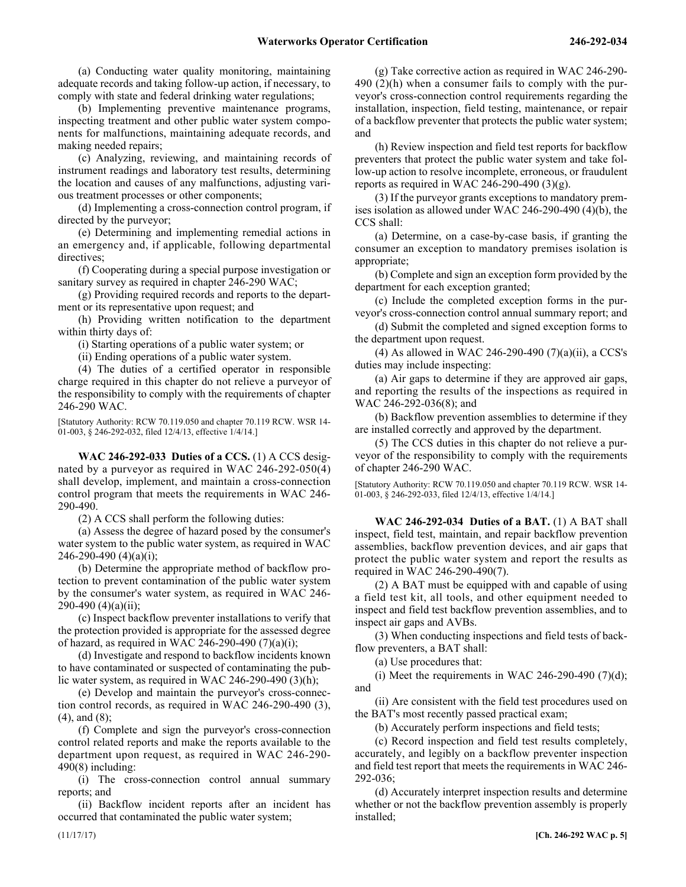(a) Conducting water quality monitoring, maintaining adequate records and taking follow-up action, if necessary, to comply with state and federal drinking water regulations;

(b) Implementing preventive maintenance programs, inspecting treatment and other public water system components for malfunctions, maintaining adequate records, and making needed repairs;

(c) Analyzing, reviewing, and maintaining records of instrument readings and laboratory test results, determining the location and causes of any malfunctions, adjusting various treatment processes or other components;

(d) Implementing a cross-connection control program, if directed by the purveyor;

(e) Determining and implementing remedial actions in an emergency and, if applicable, following departmental directives;

(f) Cooperating during a special purpose investigation or sanitary survey as required in chapter 246-290 WAC;

(g) Providing required records and reports to the department or its representative upon request; and

(h) Providing written notification to the department within thirty days of:

(i) Starting operations of a public water system; or

(ii) Ending operations of a public water system.

(4) The duties of a certified operator in responsible charge required in this chapter do not relieve a purveyor of the responsibility to comply with the requirements of chapter 246-290 WAC.

[Statutory Authority: RCW 70.119.050 and chapter 70.119 RCW. WSR 14- 01-003, § 246-292-032, filed 12/4/13, effective 1/4/14.]

246-292-033 **WAC 246-292-033 Duties of a CCS.** (1) A CCS designated by a purveyor as required in WAC 246-292-050(4) shall develop, implement, and maintain a cross-connection control program that meets the requirements in WAC 246- 290-490.

(2) A CCS shall perform the following duties:

(a) Assess the degree of hazard posed by the consumer's water system to the public water system, as required in WAC 246-290-490 (4)(a)(i);

(b) Determine the appropriate method of backflow protection to prevent contamination of the public water system by the consumer's water system, as required in WAC 246-  $290-490$  (4)(a)(ii);

(c) Inspect backflow preventer installations to verify that the protection provided is appropriate for the assessed degree of hazard, as required in WAC 246-290-490  $(7)(a)(i)$ ;

(d) Investigate and respond to backflow incidents known to have contaminated or suspected of contaminating the public water system, as required in WAC 246-290-490 (3)(h);

(e) Develop and maintain the purveyor's cross-connection control records, as required in WAC 246-290-490 (3), (4), and (8);

(f) Complete and sign the purveyor's cross-connection control related reports and make the reports available to the department upon request, as required in WAC 246-290-  $490(8)$  including:

(i) The cross-connection control annual summary reports; and

(ii) Backflow incident reports after an incident has occurred that contaminated the public water system;

(g) Take corrective action as required in WAC 246-290- 490 (2)(h) when a consumer fails to comply with the purveyor's cross-connection control requirements regarding the installation, inspection, field testing, maintenance, or repair of a backflow preventer that protects the public water system; and

(h) Review inspection and field test reports for backflow preventers that protect the public water system and take follow-up action to resolve incomplete, erroneous, or fraudulent reports as required in WAC 246-290-490 (3)(g).

(3) If the purveyor grants exceptions to mandatory premises isolation as allowed under WAC 246-290-490 (4)(b), the CCS shall:

(a) Determine, on a case-by-case basis, if granting the consumer an exception to mandatory premises isolation is appropriate;

(b) Complete and sign an exception form provided by the department for each exception granted;

(c) Include the completed exception forms in the purveyor's cross-connection control annual summary report; and

(d) Submit the completed and signed exception forms to the department upon request.

(4) As allowed in WAC 246-290-490  $(7)(a)(ii)$ , a CCS's duties may include inspecting:

(a) Air gaps to determine if they are approved air gaps, and reporting the results of the inspections as required in WAC 246-292-036(8); and

(b) Backflow prevention assemblies to determine if they are installed correctly and approved by the department.

(5) The CCS duties in this chapter do not relieve a purveyor of the responsibility to comply with the requirements of chapter 246-290 WAC.

[Statutory Authority: RCW 70.119.050 and chapter 70.119 RCW. WSR 14- 01-003,  $\S$  246-292-033, filed 12/4/13, effective  $1/4/14$ .]

246-292-034 **WAC 246-292-034 Duties of a BAT.** (1) A BAT shall inspect, field test, maintain, and repair backflow prevention assemblies, backflow prevention devices, and air gaps that protect the public water system and report the results as required in WAC 246-290-490(7).

(2) A BAT must be equipped with and capable of using a field test kit, all tools, and other equipment needed to inspect and field test backflow prevention assemblies, and to inspect air gaps and AVBs.

(3) When conducting inspections and field tests of backflow preventers, a BAT shall:

(a) Use procedures that:

(i) Meet the requirements in WAC 246-290-490  $(7)(d)$ ; and

(ii) Are consistent with the field test procedures used on the BAT's most recently passed practical exam;

(b) Accurately perform inspections and field tests;

(c) Record inspection and field test results completely, accurately, and legibly on a backflow preventer inspection and field test report that meets the requirements in WAC 246- 292-036;

(d) Accurately interpret inspection results and determine whether or not the backflow prevention assembly is properly installed;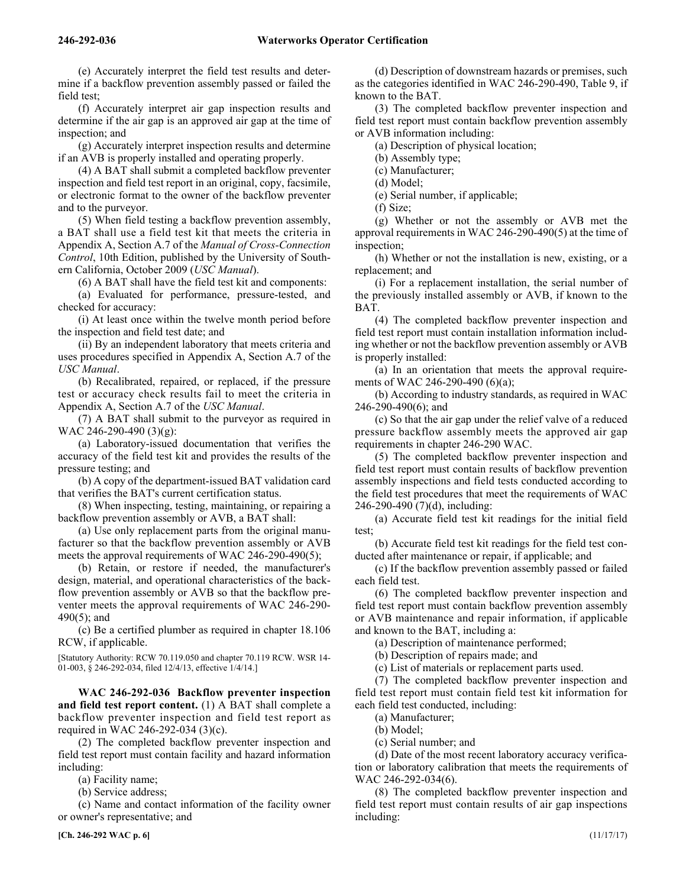(e) Accurately interpret the field test results and determine if a backflow prevention assembly passed or failed the field test;

(f) Accurately interpret air gap inspection results and determine if the air gap is an approved air gap at the time of inspection; and

(g) Accurately interpret inspection results and determine if an AVB is properly installed and operating properly.

(4) A BAT shall submit a completed backflow preventer inspection and field test report in an original, copy, facsimile, or electronic format to the owner of the backflow preventer and to the purveyor.

(5) When field testing a backflow prevention assembly, a BAT shall use a field test kit that meets the criteria in Appendix A, Section A.7 of the *Manual of Cross-Connection Control*, 10th Edition, published by the University of Southern California, October 2009 (*USC Manual*).

(6) A BAT shall have the field test kit and components:

(a) Evaluated for performance, pressure-tested, and checked for accuracy:

(i) At least once within the twelve month period before the inspection and field test date; and

(ii) By an independent laboratory that meets criteria and uses procedures specified in Appendix A, Section A.7 of the *USC Manual*.

(b) Recalibrated, repaired, or replaced, if the pressure test or accuracy check results fail to meet the criteria in Appendix A, Section A.7 of the *USC Manual*.

(7) A BAT shall submit to the purveyor as required in WAC 246-290-490 (3)(g):

(a) Laboratory-issued documentation that verifies the accuracy of the field test kit and provides the results of the pressure testing; and

(b) A copy of the department-issued BAT validation card that verifies the BAT's current certification status.

(8) When inspecting, testing, maintaining, or repairing a backflow prevention assembly or AVB, a BAT shall:

(a) Use only replacement parts from the original manufacturer so that the backflow prevention assembly or AVB meets the approval requirements of WAC 246-290-490(5);

(b) Retain, or restore if needed, the manufacturer's design, material, and operational characteristics of the backflow prevention assembly or AVB so that the backflow preventer meets the approval requirements of WAC 246-290- 490(5); and

(c) Be a certified plumber as required in chapter 18.106 RCW, if applicable.

[Statutory Authority: RCW 70.119.050 and chapter 70.119 RCW. WSR 14- 01-003, § 246-292-034, filed 12/4/13, effective 1/4/14.]

246-292-036 **WAC 246-292-036 Backflow preventer inspection and field test report content.** (1) A BAT shall complete a backflow preventer inspection and field test report as required in WAC 246-292-034 (3)(c).

(2) The completed backflow preventer inspection and field test report must contain facility and hazard information including:

(a) Facility name;

(b) Service address;

(c) Name and contact information of the facility owner or owner's representative; and

(d) Description of downstream hazards or premises, such as the categories identified in WAC 246-290-490, Table 9, if known to the BAT.

(3) The completed backflow preventer inspection and field test report must contain backflow prevention assembly or AVB information including:

(a) Description of physical location;

(b) Assembly type;

(c) Manufacturer;

(d) Model;

(e) Serial number, if applicable;

(f) Size;

(g) Whether or not the assembly or AVB met the approval requirements in WAC 246-290-490(5) at the time of inspection;

(h) Whether or not the installation is new, existing, or a replacement; and

(i) For a replacement installation, the serial number of the previously installed assembly or AVB, if known to the BAT.

(4) The completed backflow preventer inspection and field test report must contain installation information including whether or not the backflow prevention assembly or AVB is properly installed:

(a) In an orientation that meets the approval requirements of WAC 246-290-490 (6)(a);

(b) According to industry standards, as required in WAC 246-290-490(6); and

(c) So that the air gap under the relief valve of a reduced pressure backflow assembly meets the approved air gap requirements in chapter 246-290 WAC.

(5) The completed backflow preventer inspection and field test report must contain results of backflow prevention assembly inspections and field tests conducted according to the field test procedures that meet the requirements of WAC 246-290-490 (7)(d), including:

(a) Accurate field test kit readings for the initial field test;

(b) Accurate field test kit readings for the field test conducted after maintenance or repair, if applicable; and

(c) If the backflow prevention assembly passed or failed each field test.

(6) The completed backflow preventer inspection and field test report must contain backflow prevention assembly or AVB maintenance and repair information, if applicable and known to the BAT, including a:

(a) Description of maintenance performed;

(b) Description of repairs made; and

(c) List of materials or replacement parts used.

(7) The completed backflow preventer inspection and field test report must contain field test kit information for each field test conducted, including:

(a) Manufacturer;

(b) Model;

(c) Serial number; and

(d) Date of the most recent laboratory accuracy verification or laboratory calibration that meets the requirements of WAC 246-292-034(6).

(8) The completed backflow preventer inspection and field test report must contain results of air gap inspections including: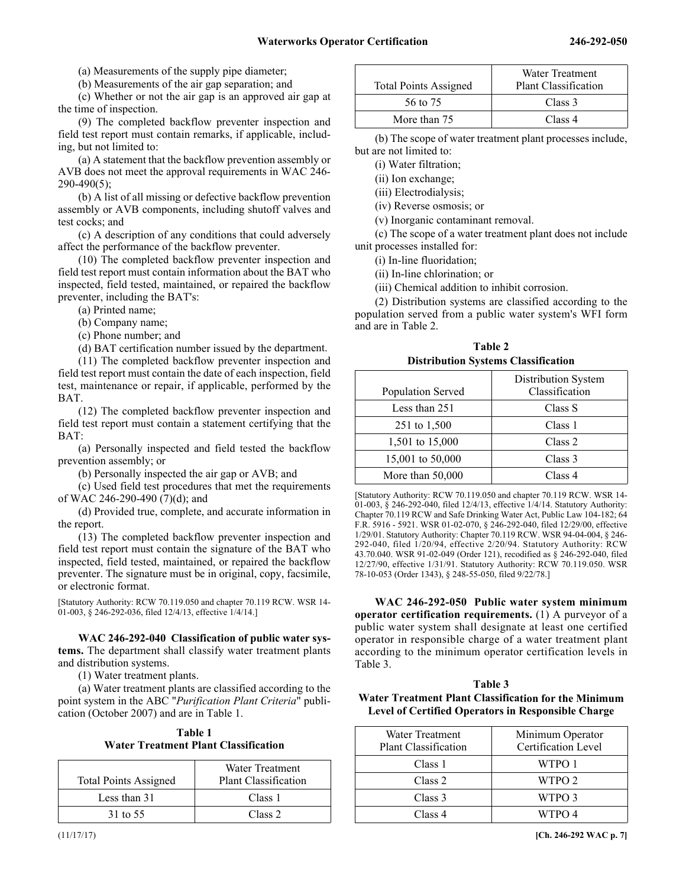(a) Measurements of the supply pipe diameter;

(b) Measurements of the air gap separation; and

(c) Whether or not the air gap is an approved air gap at the time of inspection.

(9) The completed backflow preventer inspection and field test report must contain remarks, if applicable, including, but not limited to:

(a) A statement that the backflow prevention assembly or AVB does not meet the approval requirements in WAC 246- 290-490(5);

(b) A list of all missing or defective backflow prevention assembly or AVB components, including shutoff valves and test cocks; and

(c) A description of any conditions that could adversely affect the performance of the backflow preventer.

(10) The completed backflow preventer inspection and field test report must contain information about the BAT who inspected, field tested, maintained, or repaired the backflow preventer, including the BAT's:

(a) Printed name;

(b) Company name;

(c) Phone number; and

(d) BAT certification number issued by the department.

(11) The completed backflow preventer inspection and field test report must contain the date of each inspection, field test, maintenance or repair, if applicable, performed by the **BAT** 

(12) The completed backflow preventer inspection and field test report must contain a statement certifying that the BAT:

(a) Personally inspected and field tested the backflow prevention assembly; or

(b) Personally inspected the air gap or AVB; and

(c) Used field test procedures that met the requirements of WAC 246-290-490 (7)(d); and

(d) Provided true, complete, and accurate information in the report.

(13) The completed backflow preventer inspection and field test report must contain the signature of the BAT who inspected, field tested, maintained, or repaired the backflow preventer. The signature must be in original, copy, facsimile, or electronic format.

[Statutory Authority: RCW 70.119.050 and chapter 70.119 RCW. WSR 14- 01-003, § 246-292-036, filed 12/4/13, effective 1/4/14.]

246-292-040 **WAC 246-292-040 Classification of public water systems.** The department shall classify water treatment plants and distribution systems.

(1) Water treatment plants.

(a) Water treatment plants are classified according to the point system in the ABC "*Purification Plant Criteria*" publication (October 2007) and are in Table 1.

| Table 1                                     |
|---------------------------------------------|
| <b>Water Treatment Plant Classification</b> |

| <b>Total Points Assigned</b> | Water Treatment<br>Plant Classification |
|------------------------------|-----------------------------------------|
| Less than 31                 | Class 1                                 |
| 31 to 55                     | Class <sub>2</sub>                      |

| <b>Total Points Assigned</b> | Water Treatment<br>Plant Classification |
|------------------------------|-----------------------------------------|
| 56 to 75                     | Class 3                                 |
| More than 75                 | Class 4                                 |

(b) The scope of water treatment plant processes include, but are not limited to:

(i) Water filtration;

(ii) Ion exchange;

(iii) Electrodialysis;

(iv) Reverse osmosis; or

(v) Inorganic contaminant removal.

(c) The scope of a water treatment plant does not include unit processes installed for:

(i) In-line fluoridation;

(ii) In-line chlorination; or

(iii) Chemical addition to inhibit corrosion.

(2) Distribution systems are classified according to the population served from a public water system's WFI form and are in Table 2.

**Table 2 Distribution Systems Classification**

| Population Served | Distribution System<br>Classification |
|-------------------|---------------------------------------|
| Less than 251     | Class S                               |
| 251 to 1,500      | Class 1                               |
| 1,501 to 15,000   | Class <sub>2</sub>                    |
| 15,001 to 50,000  | Class 3                               |
| More than 50,000  | Class 4                               |

[Statutory Authority: RCW 70.119.050 and chapter 70.119 RCW. WSR 14- 01-003, § 246-292-040, filed 12/4/13, effective 1/4/14. Statutory Authority: Chapter 70.119 RCW and Safe Drinking Water Act, Public Law 104-182; 64 F.R. 5916 - 5921. WSR 01-02-070, § 246-292-040, filed 12/29/00, effective 1/29/01. Statutory Authority: Chapter 70.119 RCW. WSR 94-04-004, § 246- 292-040, filed 1/20/94, effective 2/20/94. Statutory Authority: RCW 43.70.040. WSR 91-02-049 (Order 121), recodified as § 246-292-040, filed 12/27/90, effective 1/31/91. Statutory Authority: RCW 70.119.050. WSR 78-10-053 (Order 1343), § 248-55-050, filed 9/22/78.]

246-292-050 **WAC 246-292-050 Public water system minimum operator certification requirements.** (1) A purveyor of a public water system shall designate at least one certified operator in responsible charge of a water treatment plant according to the minimum operator certification levels in Table 3.

#### **Table 3**

**Water Treatment Plant Classification for the Minimum Level of Certified Operators in Responsible Charge**

| Water Treatment<br>Plant Classification | Minimum Operator<br>Certification Level |
|-----------------------------------------|-----------------------------------------|
| Class 1                                 | WTPO 1                                  |
| Class 2                                 | WTPO 2                                  |
| Class 3                                 | WTPO 3                                  |
| Class 4                                 | WTPO 4                                  |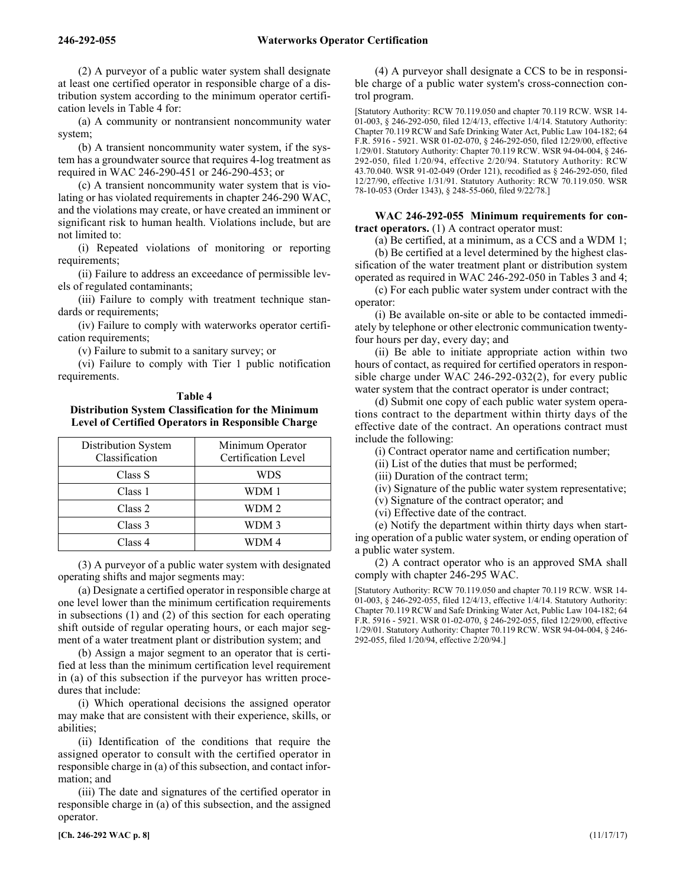(2) A purveyor of a public water system shall designate at least one certified operator in responsible charge of a distribution system according to the minimum operator certification levels in Table 4 for:

(a) A community or nontransient noncommunity water system;

(b) A transient noncommunity water system, if the system has a groundwater source that requires 4-log treatment as required in WAC 246-290-451 or 246-290-453; or

(c) A transient noncommunity water system that is violating or has violated requirements in chapter 246-290 WAC, and the violations may create, or have created an imminent or significant risk to human health. Violations include, but are not limited to:

(i) Repeated violations of monitoring or reporting requirements;

(ii) Failure to address an exceedance of permissible levels of regulated contaminants;

(iii) Failure to comply with treatment technique standards or requirements;

(iv) Failure to comply with waterworks operator certification requirements;

(v) Failure to submit to a sanitary survey; or

(vi) Failure to comply with Tier 1 public notification requirements.

### **Table 4 Distribution System Classification for the Minimum Level of Certified Operators in Responsible Charge**

| Distribution System<br>Classification | Minimum Operator<br>Certification Level |
|---------------------------------------|-----------------------------------------|
| Class S                               | WDS                                     |
| Class 1                               | WDM 1                                   |
| Class 2                               | WDM 2                                   |
| Class 3                               | WDM 3                                   |
| Class 4                               | WDM 4                                   |

(3) A purveyor of a public water system with designated operating shifts and major segments may:

(a) Designate a certified operator in responsible charge at one level lower than the minimum certification requirements in subsections (1) and (2) of this section for each operating shift outside of regular operating hours, or each major segment of a water treatment plant or distribution system; and

(b) Assign a major segment to an operator that is certified at less than the minimum certification level requirement in (a) of this subsection if the purveyor has written procedures that include:

(i) Which operational decisions the assigned operator may make that are consistent with their experience, skills, or abilities;

(ii) Identification of the conditions that require the assigned operator to consult with the certified operator in responsible charge in (a) of this subsection, and contact information; and

(iii) The date and signatures of the certified operator in responsible charge in (a) of this subsection, and the assigned operator.

(4) A purveyor shall designate a CCS to be in responsible charge of a public water system's cross-connection control program.

[Statutory Authority: RCW 70.119.050 and chapter 70.119 RCW. WSR 14- 01-003, § 246-292-050, filed 12/4/13, effective 1/4/14. Statutory Authority: Chapter 70.119 RCW and Safe Drinking Water Act, Public Law 104-182; 64 F.R. 5916 - 5921. WSR 01-02-070, § 246-292-050, filed 12/29/00, effective 1/29/01. Statutory Authority: Chapter 70.119 RCW. WSR 94-04-004, § 246- 292-050, filed 1/20/94, effective 2/20/94. Statutory Authority: RCW 43.70.040. WSR 91-02-049 (Order 121), recodified as § 246-292-050, filed 12/27/90, effective 1/31/91. Statutory Authority: RCW 70.119.050. WSR 78-10-053 (Order 1343), § 248-55-060, filed 9/22/78.]

#### WAC 246-292-055 Minimum requirements for con**tract operators.** (1) A contract operator must:

(a) Be certified, at a minimum, as a CCS and a WDM 1;

(b) Be certified at a level determined by the highest classification of the water treatment plant or distribution system operated as required in WAC 246-292-050 in Tables 3 and 4;

(c) For each public water system under contract with the operator:

(i) Be available on-site or able to be contacted immediately by telephone or other electronic communication twentyfour hours per day, every day; and

(ii) Be able to initiate appropriate action within two hours of contact, as required for certified operators in responsible charge under WAC 246-292-032(2), for every public water system that the contract operator is under contract;

(d) Submit one copy of each public water system operations contract to the department within thirty days of the effective date of the contract. An operations contract must include the following:

(i) Contract operator name and certification number;

(ii) List of the duties that must be performed;

(iii) Duration of the contract term;

(iv) Signature of the public water system representative;

(v) Signature of the contract operator; and

(vi) Effective date of the contract.

(e) Notify the department within thirty days when starting operation of a public water system, or ending operation of a public water system.

(2) A contract operator who is an approved SMA shall comply with chapter 246-295 WAC.

[Statutory Authority: RCW 70.119.050 and chapter 70.119 RCW. WSR 14- 01-003, § 246-292-055, filed 12/4/13, effective 1/4/14. Statutory Authority: Chapter 70.119 RCW and Safe Drinking Water Act, Public Law 104-182; 64 F.R. 5916 - 5921. WSR 01-02-070, § 246-292-055, filed 12/29/00, effective 1/29/01. Statutory Authority: Chapter 70.119 RCW. WSR 94-04-004, § 246- 292-055, filed 1/20/94, effective 2/20/94.]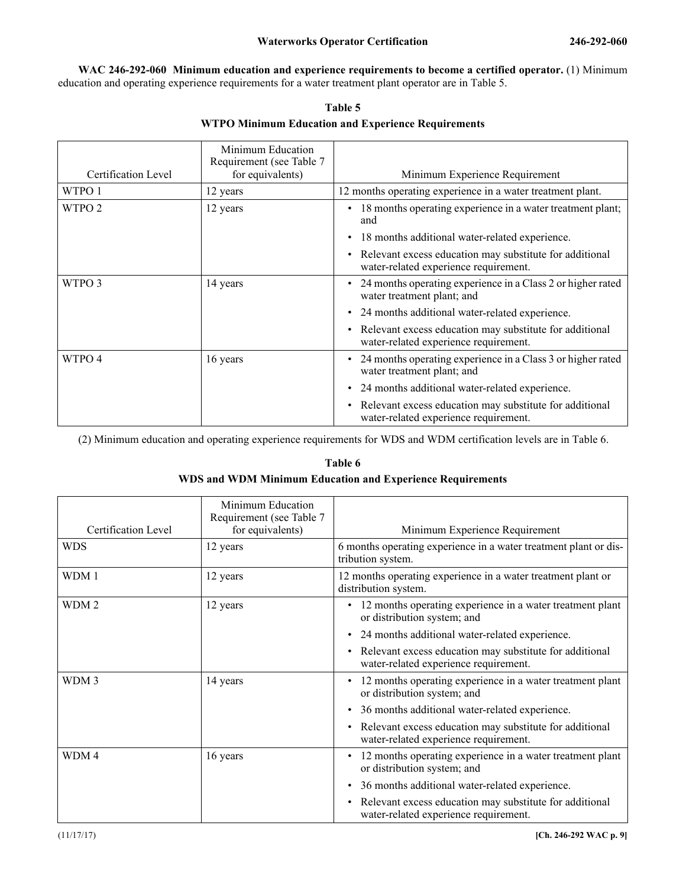246-292-060 **WAC 246-292-060 Minimum education and experience requirements to become a certified operator.** (1) Minimum education and operating experience requirements for a water treatment plant operator are in Table 5.

| Certification Level | Minimum Education<br>Requirement (see Table 7<br>for equivalents) | Minimum Experience Requirement                                                                                |
|---------------------|-------------------------------------------------------------------|---------------------------------------------------------------------------------------------------------------|
| WTPO 1              | 12 years                                                          | 12 months operating experience in a water treatment plant.                                                    |
| WTPO <sub>2</sub>   | 12 years                                                          | 18 months operating experience in a water treatment plant;<br>$\bullet$<br>and                                |
|                     |                                                                   | 18 months additional water-related experience.                                                                |
|                     |                                                                   | • Relevant excess education may substitute for additional<br>water-related experience requirement.            |
| WTPO 3              | 14 years                                                          | 24 months operating experience in a Class 2 or higher rated<br>water treatment plant; and                     |
|                     |                                                                   | 24 months additional water-related experience.<br>٠                                                           |
|                     |                                                                   | Relevant excess education may substitute for additional<br>$\bullet$<br>water-related experience requirement. |
| WTPO 4              | 16 years                                                          | 24 months operating experience in a Class 3 or higher rated<br>water treatment plant; and                     |
|                     |                                                                   | 24 months additional water-related experience.                                                                |
|                     |                                                                   | Relevant excess education may substitute for additional<br>$\bullet$<br>water-related experience requirement. |

**Table 5 WTPO Minimum Education and Experience Requirements**

(2) Minimum education and operating experience requirements for WDS and WDM certification levels are in Table 6.

## **Table 6 WDS and WDM Minimum Education and Experience Requirements**

| Certification Level | Minimum Education<br>Requirement (see Table 7<br>for equivalents) | Minimum Experience Requirement                                                                                |
|---------------------|-------------------------------------------------------------------|---------------------------------------------------------------------------------------------------------------|
| <b>WDS</b>          | 12 years                                                          | 6 months operating experience in a water treatment plant or dis-<br>tribution system.                         |
| WDM 1               | 12 years                                                          | 12 months operating experience in a water treatment plant or<br>distribution system.                          |
| WDM <sub>2</sub>    | 12 years                                                          | 12 months operating experience in a water treatment plant<br>or distribution system; and                      |
|                     |                                                                   | 24 months additional water-related experience.<br>$\bullet$                                                   |
|                     |                                                                   | Relevant excess education may substitute for additional<br>$\bullet$<br>water-related experience requirement. |
| WDM 3               | 14 years                                                          | 12 months operating experience in a water treatment plant<br>$\bullet$<br>or distribution system; and         |
|                     |                                                                   | 36 months additional water-related experience.<br>$\bullet$                                                   |
|                     |                                                                   | Relevant excess education may substitute for additional<br>$\bullet$<br>water-related experience requirement. |
| WDM4                | 16 years                                                          | 12 months operating experience in a water treatment plant<br>or distribution system; and                      |
|                     |                                                                   | • 36 months additional water-related experience.                                                              |
|                     |                                                                   | Relevant excess education may substitute for additional<br>$\bullet$<br>water-related experience requirement. |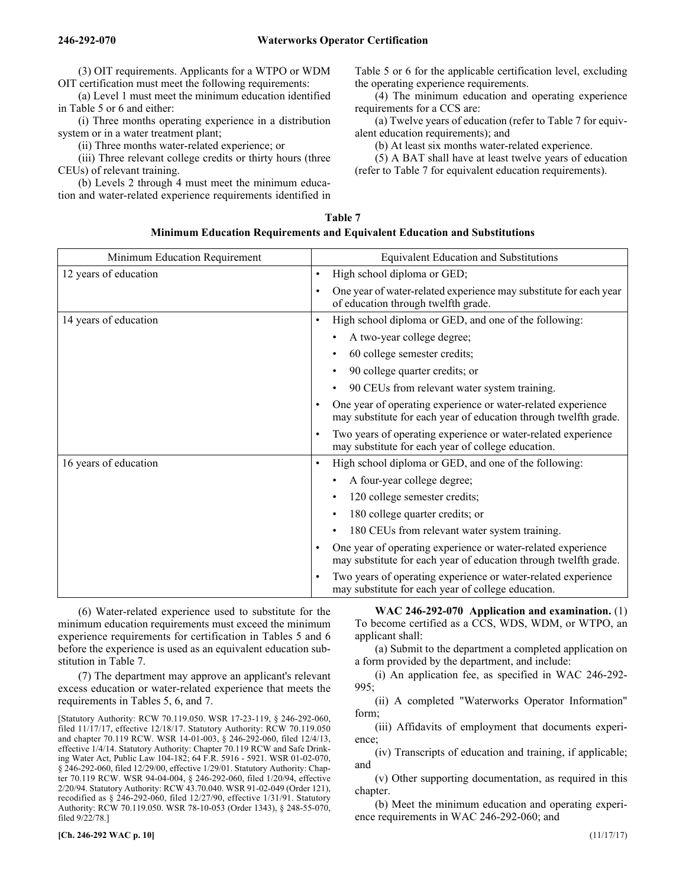(3) OIT requirements. Applicants for a WTPO or WDM OIT certification must meet the following requirements:

(a) Level 1 must meet the minimum education identified in Table 5 or 6 and either:

(i) Three months operating experience in a distribution system or in a water treatment plant;

(ii) Three months water-related experience; or

(iii) Three relevant college credits or thirty hours (three CEUs) of relevant training.

(b) Levels 2 through 4 must meet the minimum education and water-related experience requirements identified in Table 5 or 6 for the applicable certification level, excluding the operating experience requirements.

(4) The minimum education and operating experience requirements for a CCS are:

(a) Twelve years of education (refer to Table 7 for equivalent education requirements); and

(b) At least six months water-related experience.

(5) A BAT shall have at least twelve years of education (refer to Table 7 for equivalent education requirements).

| Table 7                                                                          |
|----------------------------------------------------------------------------------|
| <b>Minimum Education Requirements and Equivalent Education and Substitutions</b> |

| Minimum Education Requirement | <b>Equivalent Education and Substitutions</b>                                                                                    |  |
|-------------------------------|----------------------------------------------------------------------------------------------------------------------------------|--|
| 12 years of education         | High school diploma or GED;<br>$\bullet$                                                                                         |  |
|                               | One year of water-related experience may substitute for each year<br>of education through twelfth grade.                         |  |
| 14 years of education         | High school diploma or GED, and one of the following:<br>٠                                                                       |  |
|                               | A two-year college degree;                                                                                                       |  |
|                               | 60 college semester credits;                                                                                                     |  |
|                               | 90 college quarter credits; or                                                                                                   |  |
|                               | 90 CEUs from relevant water system training.                                                                                     |  |
|                               | One year of operating experience or water-related experience<br>may substitute for each year of education through twelfth grade. |  |
|                               | Two years of operating experience or water-related experience<br>may substitute for each year of college education.              |  |
| 16 years of education         | High school diploma or GED, and one of the following:<br>٠                                                                       |  |
|                               | A four-year college degree;                                                                                                      |  |
|                               | 120 college semester credits;                                                                                                    |  |
|                               | 180 college quarter credits; or<br>٠                                                                                             |  |
|                               | 180 CEUs from relevant water system training.<br>٠                                                                               |  |
|                               | One year of operating experience or water-related experience<br>may substitute for each year of education through twelfth grade. |  |
|                               | Two years of operating experience or water-related experience<br>may substitute for each year of college education.              |  |

(6) Water-related experience used to substitute for the minimum education requirements must exceed the minimum experience requirements for certification in Tables 5 and 6 before the experience is used as an equivalent education substitution in Table 7.

(7) The department may approve an applicant's relevant excess education or water-related experience that meets the requirements in Tables 5, 6, and 7.

[Statutory Authority: RCW 70.119.050. WSR 17-23-119, § 246-292-060, filed 11/17/17, effective 12/18/17. Statutory Authority: RCW 70.119.050 and chapter 70.119 RCW. WSR 14-01-003, § 246-292-060, filed 12/4/13, effective 1/4/14. Statutory Authority: Chapter 70.119 RCW and Safe Drinking Water Act, Public Law 104-182; 64 F.R. 5916 - 5921. WSR 01-02-070, § 246-292-060, filed 12/29/00, effective 1/29/01. Statutory Authority: Chapter 70.119 RCW. WSR 94-04-004, § 246-292-060, filed 1/20/94, effective 2/20/94. Statutory Authority: RCW 43.70.040. WSR 91-02-049 (Order 121), recodified as § 246-292-060, filed 12/27/90, effective 1/31/91. Statutory Authority: RCW 70.119.050. WSR 78-10-053 (Order 1343), § 248-55-070, filed 9/22/78.]

246-292-070 **WAC 246-292-070 Application and examination.** (1) To become certified as a CCS, WDS, WDM, or WTPO, an applicant shall:

(a) Submit to the department a completed application on a form provided by the department, and include:

(i) An application fee, as specified in WAC 246-292- 995;

(ii) A completed "Waterworks Operator Information" form;

(iii) Affidavits of employment that documents experience;

(iv) Transcripts of education and training, if applicable; and

(v) Other supporting documentation, as required in this chapter.

(b) Meet the minimum education and operating experience requirements in WAC 246-292-060; and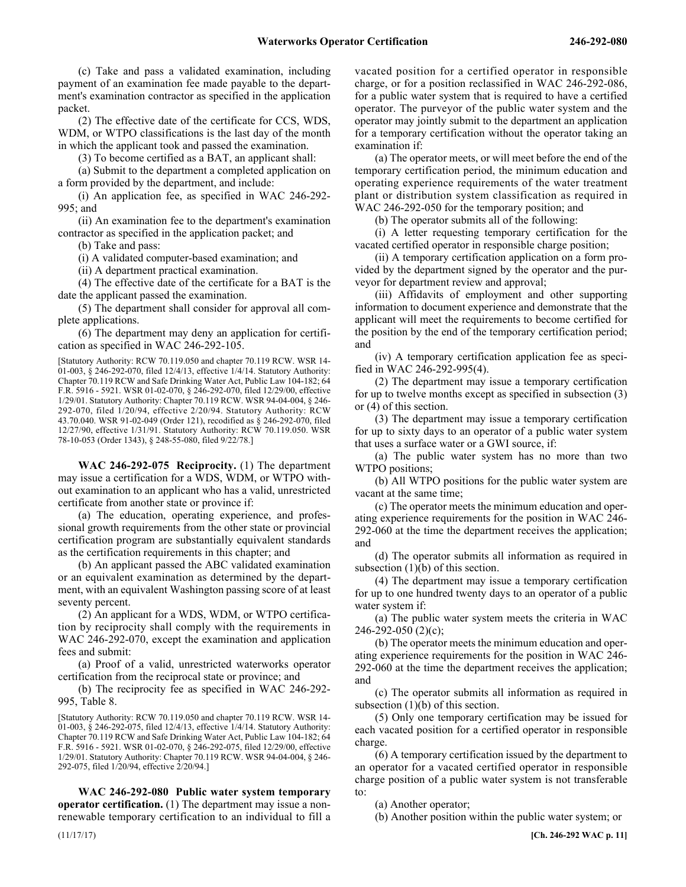(c) Take and pass a validated examination, including payment of an examination fee made payable to the department's examination contractor as specified in the application packet.

(2) The effective date of the certificate for CCS, WDS, WDM, or WTPO classifications is the last day of the month in which the applicant took and passed the examination.

(3) To become certified as a BAT, an applicant shall:

(a) Submit to the department a completed application on a form provided by the department, and include:

(i) An application fee, as specified in WAC 246-292- 995; and

(ii) An examination fee to the department's examination contractor as specified in the application packet; and

(b) Take and pass:

(i) A validated computer-based examination; and

(ii) A department practical examination.

(4) The effective date of the certificate for a BAT is the date the applicant passed the examination.

(5) The department shall consider for approval all complete applications.

(6) The department may deny an application for certification as specified in WAC 246-292-105.

[Statutory Authority: RCW 70.119.050 and chapter 70.119 RCW. WSR 14- 01-003, § 246-292-070, filed 12/4/13, effective 1/4/14. Statutory Authority: Chapter 70.119 RCW and Safe Drinking Water Act, Public Law 104-182; 64 F.R. 5916 - 5921. WSR 01-02-070, § 246-292-070, filed 12/29/00, effective 1/29/01. Statutory Authority: Chapter 70.119 RCW. WSR 94-04-004, § 246- 292-070, filed 1/20/94, effective 2/20/94. Statutory Authority: RCW 43.70.040. WSR 91-02-049 (Order 121), recodified as § 246-292-070, filed 12/27/90, effective 1/31/91. Statutory Authority: RCW 70.119.050. WSR 78-10-053 (Order 1343), § 248-55-080, filed 9/22/78.]

246-292-075 **WAC 246-292-075 Reciprocity.** (1) The department may issue a certification for a WDS, WDM, or WTPO without examination to an applicant who has a valid, unrestricted certificate from another state or province if:

(a) The education, operating experience, and professional growth requirements from the other state or provincial certification program are substantially equivalent standards as the certification requirements in this chapter; and

(b) An applicant passed the ABC validated examination or an equivalent examination as determined by the department, with an equivalent Washington passing score of at least seventy percent.

(2) An applicant for a WDS, WDM, or WTPO certification by reciprocity shall comply with the requirements in WAC 246-292-070, except the examination and application fees and submit:

(a) Proof of a valid, unrestricted waterworks operator certification from the reciprocal state or province; and

(b) The reciprocity fee as specified in WAC 246-292- 995, Table 8.

[Statutory Authority: RCW 70.119.050 and chapter 70.119 RCW. WSR 14- 01-003, § 246-292-075, filed 12/4/13, effective 1/4/14. Statutory Authority: Chapter 70.119 RCW and Safe Drinking Water Act, Public Law 104-182; 64 F.R. 5916 - 5921. WSR 01-02-070, § 246-292-075, filed 12/29/00, effective 1/29/01. Statutory Authority: Chapter 70.119 RCW. WSR 94-04-004, § 246- 292-075, filed 1/20/94, effective 2/20/94.]

246-292-080 **WAC 246-292-080 Public water system temporary operator certification.** (1) The department may issue a nonrenewable temporary certification to an individual to fill a vacated position for a certified operator in responsible charge, or for a position reclassified in WAC 246-292-086, for a public water system that is required to have a certified operator. The purveyor of the public water system and the operator may jointly submit to the department an application for a temporary certification without the operator taking an examination if:

(a) The operator meets, or will meet before the end of the temporary certification period, the minimum education and operating experience requirements of the water treatment plant or distribution system classification as required in WAC 246-292-050 for the temporary position; and

(b) The operator submits all of the following:

(i) A letter requesting temporary certification for the vacated certified operator in responsible charge position;

(ii) A temporary certification application on a form provided by the department signed by the operator and the purveyor for department review and approval;

(iii) Affidavits of employment and other supporting information to document experience and demonstrate that the applicant will meet the requirements to become certified for the position by the end of the temporary certification period; and

(iv) A temporary certification application fee as specified in WAC 246-292-995(4).

(2) The department may issue a temporary certification for up to twelve months except as specified in subsection (3) or (4) of this section.

(3) The department may issue a temporary certification for up to sixty days to an operator of a public water system that uses a surface water or a GWI source, if:

(a) The public water system has no more than two WTPO positions;

(b) All WTPO positions for the public water system are vacant at the same time;

(c) The operator meets the minimum education and operating experience requirements for the position in WAC 246- 292-060 at the time the department receives the application; and

(d) The operator submits all information as required in subsection (1)(b) of this section.

(4) The department may issue a temporary certification for up to one hundred twenty days to an operator of a public water system if:

(a) The public water system meets the criteria in WAC 246-292-050 (2)(c);

(b) The operator meets the minimum education and operating experience requirements for the position in WAC 246- 292-060 at the time the department receives the application; and

(c) The operator submits all information as required in subsection (1)(b) of this section.

(5) Only one temporary certification may be issued for each vacated position for a certified operator in responsible charge.

(6) A temporary certification issued by the department to an operator for a vacated certified operator in responsible charge position of a public water system is not transferable to:

(a) Another operator;

(b) Another position within the public water system; or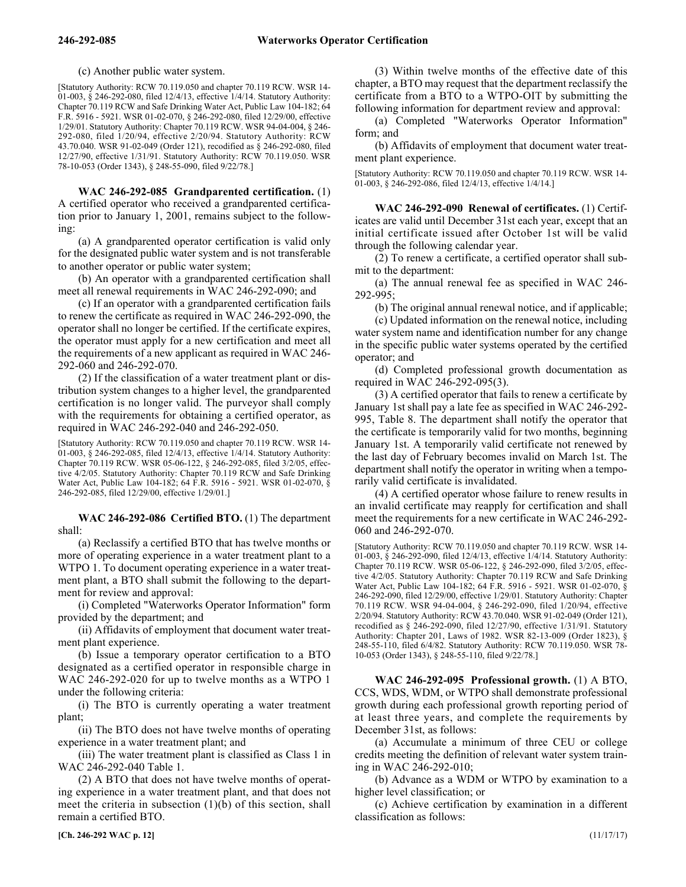(c) Another public water system.

[Statutory Authority: RCW 70.119.050 and chapter 70.119 RCW. WSR 14- 01-003, § 246-292-080, filed 12/4/13, effective 1/4/14. Statutory Authority: Chapter 70.119 RCW and Safe Drinking Water Act, Public Law 104-182; 64 F.R. 5916 - 5921. WSR 01-02-070, § 246-292-080, filed 12/29/00, effective 1/29/01. Statutory Authority: Chapter 70.119 RCW. WSR 94-04-004, § 246- 292-080, filed 1/20/94, effective 2/20/94. Statutory Authority: RCW 43.70.040. WSR 91-02-049 (Order 121), recodified as § 246-292-080, filed 12/27/90, effective 1/31/91. Statutory Authority: RCW 70.119.050. WSR 78-10-053 (Order 1343), § 248-55-090, filed 9/22/78.]

246-292-085 **WAC 246-292-085 Grandparented certification.** (1) A certified operator who received a grandparented certification prior to January 1, 2001, remains subject to the following:

(a) A grandparented operator certification is valid only for the designated public water system and is not transferable to another operator or public water system;

(b) An operator with a grandparented certification shall meet all renewal requirements in WAC 246-292-090; and

(c) If an operator with a grandparented certification fails to renew the certificate as required in WAC 246-292-090, the operator shall no longer be certified. If the certificate expires, the operator must apply for a new certification and meet all the requirements of a new applicant as required in WAC 246- 292-060 and 246-292-070.

(2) If the classification of a water treatment plant or distribution system changes to a higher level, the grandparented certification is no longer valid. The purveyor shall comply with the requirements for obtaining a certified operator, as required in WAC 246-292-040 and 246-292-050.

[Statutory Authority: RCW 70.119.050 and chapter 70.119 RCW. WSR 14- 01-003, § 246-292-085, filed 12/4/13, effective 1/4/14. Statutory Authority: Chapter 70.119 RCW. WSR 05-06-122, § 246-292-085, filed 3/2/05, effective 4/2/05. Statutory Authority: Chapter 70.119 RCW and Safe Drinking Water Act, Public Law 104-182; 64 F.R. 5916 - 5921. WSR 01-02-070, § 246-292-085, filed 12/29/00, effective 1/29/01.]

246-292-086 **WAC 246-292-086 Certified BTO.** (1) The department shall:

(a) Reclassify a certified BTO that has twelve months or more of operating experience in a water treatment plant to a WTPO 1. To document operating experience in a water treatment plant, a BTO shall submit the following to the department for review and approval:

(i) Completed "Waterworks Operator Information" form provided by the department; and

(ii) Affidavits of employment that document water treatment plant experience.

(b) Issue a temporary operator certification to a BTO designated as a certified operator in responsible charge in WAC 246-292-020 for up to twelve months as a WTPO 1 under the following criteria:

(i) The BTO is currently operating a water treatment plant;

(ii) The BTO does not have twelve months of operating experience in a water treatment plant; and

(iii) The water treatment plant is classified as Class 1 in WAC 246-292-040 Table 1.

(2) A BTO that does not have twelve months of operating experience in a water treatment plant, and that does not meet the criteria in subsection (1)(b) of this section, shall remain a certified BTO.

**[Ch. 246-292 WAC p. 12]** (11/17/17)

(3) Within twelve months of the effective date of this chapter, a BTO may request that the department reclassify the certificate from a BTO to a WTPO-OIT by submitting the following information for department review and approval:

(a) Completed "Waterworks Operator Information" form; and

(b) Affidavits of employment that document water treatment plant experience.

[Statutory Authority: RCW 70.119.050 and chapter 70.119 RCW. WSR 14- 01-003, § 246-292-086, filed 12/4/13, effective 1/4/14.]

246-292-090 **WAC 246-292-090 Renewal of certificates.** (1) Certificates are valid until December 31st each year, except that an initial certificate issued after October 1st will be valid through the following calendar year.

(2) To renew a certificate, a certified operator shall submit to the department:

(a) The annual renewal fee as specified in WAC 246- 292-995;

(b) The original annual renewal notice, and if applicable;

(c) Updated information on the renewal notice, including water system name and identification number for any change in the specific public water systems operated by the certified operator; and

(d) Completed professional growth documentation as required in WAC 246-292-095(3).

(3) A certified operator that fails to renew a certificate by January 1st shall pay a late fee as specified in WAC 246-292- 995, Table 8. The department shall notify the operator that the certificate is temporarily valid for two months, beginning January 1st. A temporarily valid certificate not renewed by the last day of February becomes invalid on March 1st. The department shall notify the operator in writing when a temporarily valid certificate is invalidated.

(4) A certified operator whose failure to renew results in an invalid certificate may reapply for certification and shall meet the requirements for a new certificate in WAC 246-292- 060 and 246-292-070.

[Statutory Authority: RCW 70.119.050 and chapter 70.119 RCW. WSR 14- 01-003, § 246-292-090, filed 12/4/13, effective 1/4/14. Statutory Authority: Chapter 70.119 RCW. WSR 05-06-122, § 246-292-090, filed 3/2/05, effective 4/2/05. Statutory Authority: Chapter 70.119 RCW and Safe Drinking Water Act, Public Law 104-182; 64 F.R. 5916 - 5921. WSR 01-02-070, § 246-292-090, filed 12/29/00, effective 1/29/01. Statutory Authority: Chapter 70.119 RCW. WSR 94-04-004, § 246-292-090, filed 1/20/94, effective 2/20/94. Statutory Authority: RCW 43.70.040. WSR 91-02-049 (Order 121), recodified as § 246-292-090, filed 12/27/90, effective 1/31/91. Statutory Authority: Chapter 201, Laws of 1982. WSR 82-13-009 (Order 1823), § 248-55-110, filed 6/4/82. Statutory Authority: RCW 70.119.050. WSR 78- 10-053 (Order 1343), § 248-55-110, filed 9/22/78.]

246-292-095 **WAC 246-292-095 Professional growth.** (1) A BTO, CCS, WDS, WDM, or WTPO shall demonstrate professional growth during each professional growth reporting period of at least three years, and complete the requirements by December 31st, as follows:

(a) Accumulate a minimum of three CEU or college credits meeting the definition of relevant water system training in WAC 246-292-010;

(b) Advance as a WDM or WTPO by examination to a higher level classification; or

(c) Achieve certification by examination in a different classification as follows: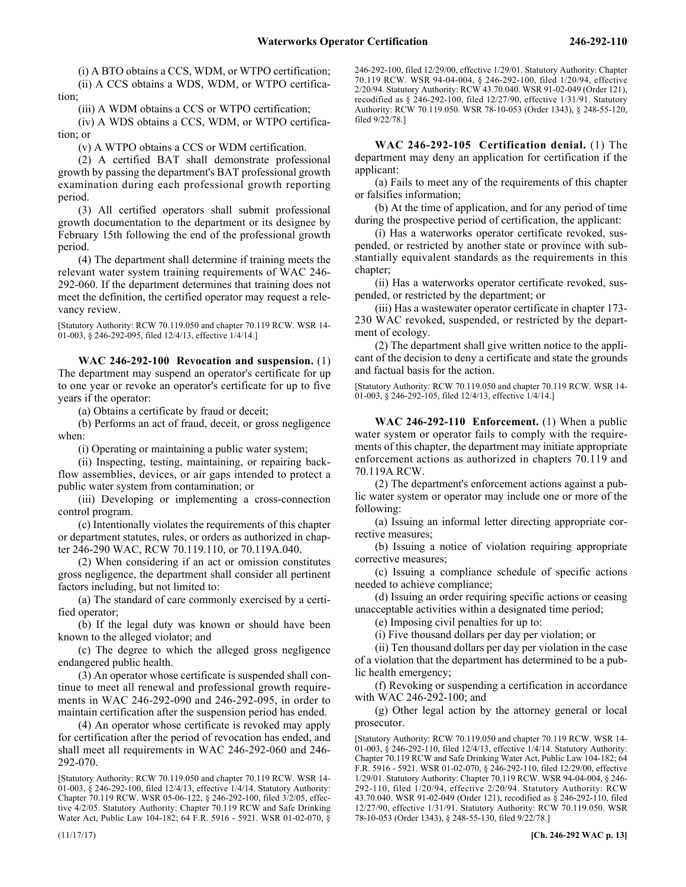(i) A BTO obtains a CCS, WDM, or WTPO certification; (ii) A CCS obtains a WDS, WDM, or WTPO certification;

(iii) A WDM obtains a CCS or WTPO certification;

(iv) A WDS obtains a CCS, WDM, or WTPO certification; or

(v) A WTPO obtains a CCS or WDM certification.

(2) A certified BAT shall demonstrate professional growth by passing the department's BAT professional growth examination during each professional growth reporting period.

(3) All certified operators shall submit professional growth documentation to the department or its designee by February 15th following the end of the professional growth period.

(4) The department shall determine if training meets the relevant water system training requirements of WAC 246- 292-060. If the department determines that training does not meet the definition, the certified operator may request a relevancy review.

[Statutory Authority: RCW 70.119.050 and chapter 70.119 RCW. WSR 14- 01-003, § 246-292-095, filed 12/4/13, effective 1/4/14.]

246-292-100 **WAC 246-292-100 Revocation and suspension.** (1) The department may suspend an operator's certificate for up to one year or revoke an operator's certificate for up to five years if the operator:

(a) Obtains a certificate by fraud or deceit;

(b) Performs an act of fraud, deceit, or gross negligence when:

(i) Operating or maintaining a public water system;

(ii) Inspecting, testing, maintaining, or repairing backflow assemblies, devices, or air gaps intended to protect a public water system from contamination; or

(iii) Developing or implementing a cross-connection control program.

(c) Intentionally violates the requirements of this chapter or department statutes, rules, or orders as authorized in chapter 246-290 WAC, RCW 70.119.110, or 70.119A.040.

(2) When considering if an act or omission constitutes gross negligence, the department shall consider all pertinent factors including, but not limited to:

(a) The standard of care commonly exercised by a certified operator;

(b) If the legal duty was known or should have been known to the alleged violator; and

(c) The degree to which the alleged gross negligence endangered public health.

(3) An operator whose certificate is suspended shall continue to meet all renewal and professional growth requirements in WAC 246-292-090 and 246-292-095, in order to maintain certification after the suspension period has ended.

(4) An operator whose certificate is revoked may apply for certification after the period of revocation has ended, and shall meet all requirements in WAC 246-292-060 and 246- 292-070.

[Statutory Authority: RCW 70.119.050 and chapter 70.119 RCW. WSR 14- 01-003, § 246-292-100, filed 12/4/13, effective 1/4/14. Statutory Authority: Chapter 70.119 RCW. WSR 05-06-122, § 246-292-100, filed 3/2/05, effective 4/2/05. Statutory Authority: Chapter 70.119 RCW and Safe Drinking Water Act, Public Law 104-182; 64 F.R. 5916 - 5921. WSR 01-02-070, §

246-292-100, filed 12/29/00, effective 1/29/01. Statutory Authority: Chapter 70.119 RCW. WSR 94-04-004, § 246-292-100, filed 1/20/94, effective 2/20/94. Statutory Authority: RCW 43.70.040. WSR 91-02-049 (Order 121), recodified as § 246-292-100, filed 12/27/90, effective 1/31/91. Statutory Authority: RCW 70.119.050. WSR 78-10-053 (Order 1343), § 248-55-120, filed 9/22/78.]

246-292-105 **WAC 246-292-105 Certification denial.** (1) The department may deny an application for certification if the applicant:

(a) Fails to meet any of the requirements of this chapter or falsifies information;

(b) At the time of application, and for any period of time during the prospective period of certification, the applicant:

(i) Has a waterworks operator certificate revoked, suspended, or restricted by another state or province with substantially equivalent standards as the requirements in this chapter;

(ii) Has a waterworks operator certificate revoked, suspended, or restricted by the department; or

(iii) Has a wastewater operator certificate in chapter 173- 230 WAC revoked, suspended, or restricted by the department of ecology.

(2) The department shall give written notice to the applicant of the decision to deny a certificate and state the grounds and factual basis for the action.

[Statutory Authority: RCW 70.119.050 and chapter 70.119 RCW. WSR 14- 01-003,  $\dot{\S}$  246-292-105, filed 12/4/13, effective  $1/4/14$ .]

246-292-110 **WAC 246-292-110 Enforcement.** (1) When a public water system or operator fails to comply with the requirements of this chapter, the department may initiate appropriate enforcement actions as authorized in chapters 70.119 and 70.119A RCW.

(2) The department's enforcement actions against a public water system or operator may include one or more of the following:

(a) Issuing an informal letter directing appropriate corrective measures;

(b) Issuing a notice of violation requiring appropriate corrective measures;

(c) Issuing a compliance schedule of specific actions needed to achieve compliance;

(d) Issuing an order requiring specific actions or ceasing unacceptable activities within a designated time period;

(e) Imposing civil penalties for up to:

(i) Five thousand dollars per day per violation; or

(ii) Ten thousand dollars per day per violation in the case of a violation that the department has determined to be a public health emergency;

(f) Revoking or suspending a certification in accordance with WAC 246-292-100; and

(g) Other legal action by the attorney general or local prosecutor.

[Statutory Authority: RCW 70.119.050 and chapter 70.119 RCW. WSR 14- 01-003, § 246-292-110, filed 12/4/13, effective 1/4/14. Statutory Authority: Chapter 70.119 RCW and Safe Drinking Water Act, Public Law 104-182; 64 F.R. 5916 - 5921. WSR 01-02-070, § 246-292-110, filed 12/29/00, effective 1/29/01. Statutory Authority: Chapter 70.119 RCW. WSR 94-04-004, § 246- 292-110, filed 1/20/94, effective 2/20/94. Statutory Authority: RCW 43.70.040. WSR 91-02-049 (Order 121), recodified as § 246-292-110, filed 12/27/90, effective 1/31/91. Statutory Authority: RCW 70.119.050. WSR 78-10-053 (Order 1343), § 248-55-130, filed 9/22/78.]